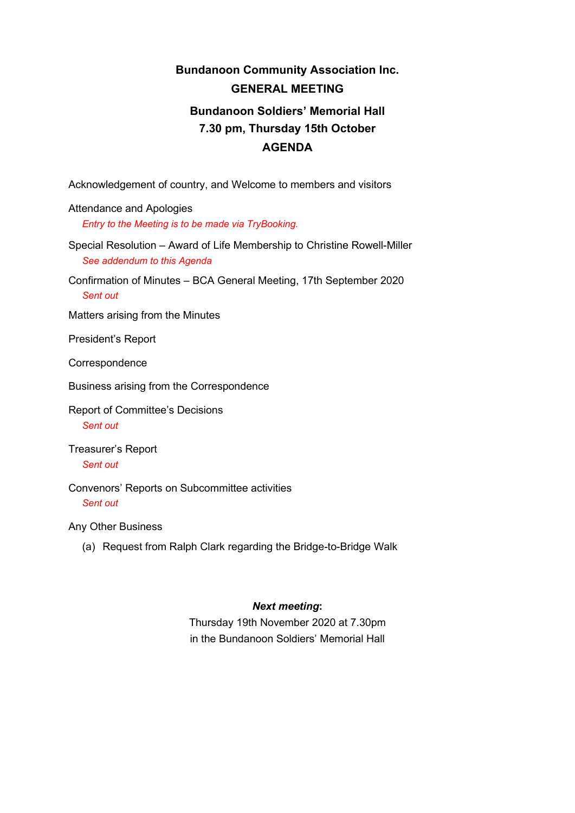# **Bundanoon Community Association Inc. GENERAL MEETING Bundanoon Soldiers' Memorial Hall 7.30 pm, Thursday 15th October AGENDA**

Acknowledgement of country, and Welcome to members and visitors

Attendance and Apologies *Entry to the Meeting is to be made via TryBooking.*

Special Resolution – Award of Life Membership to Christine Rowell-Miller *See addendum to this Agenda*

Confirmation of Minutes – BCA General Meeting, 17th September 2020 *Sent out*

Matters arising from the Minutes

President's Report

Correspondence

Business arising from the Correspondence

Report of Committee's Decisions *Sent out*

Treasurer's Report *Sent out*

Convenors' Reports on Subcommittee activities *Sent out*

Any Other Business

(a) Request from Ralph Clark regarding the Bridge-to-Bridge Walk

### *Next meeting***:**

Thursday 19th November 2020 at 7.30pm in the Bundanoon Soldiers' Memorial Hall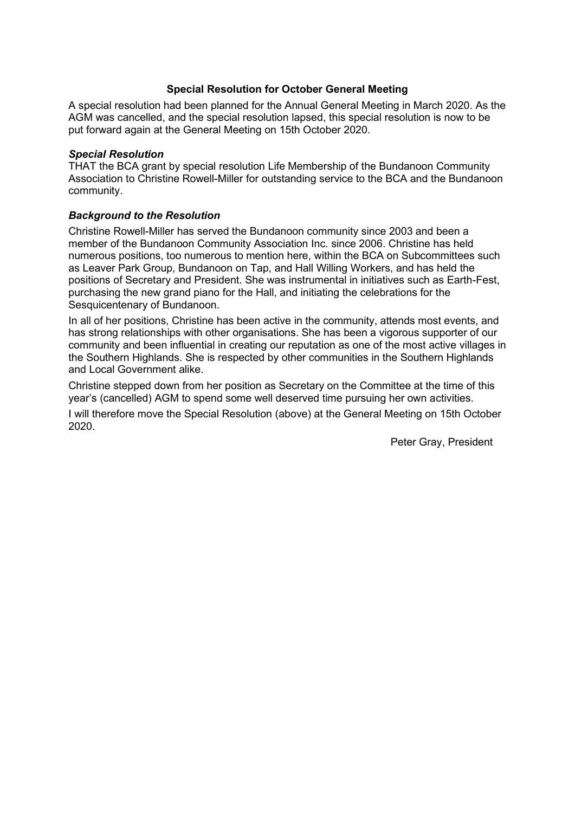### **Special Resolution for October General Meeting**

A special resolution had been planned for the Annual General Meeting in March 2020. As the AGM was cancelled, and the special resolution lapsed, this special resolution is now to be put forward again at the General Meeting on 15th October 2020.

#### *Special Resolution*

THAT the BCA grant by special resolution Life Membership of the Bundanoon Community Association to Christine Rowell-Miller for outstanding service to the BCA and the Bundanoon community.

### *Background to the Resolution*

Christine Rowell-Miller has served the Bundanoon community since 2003 and been a member of the Bundanoon Community Association Inc. since 2006. Christine has held numerous positions, too numerous to mention here, within the BCA on Subcommittees such as Leaver Park Group, Bundanoon on Tap, and Hall Willing Workers, and has held the positions of Secretary and President. She was instrumental in initiatives such as Earth-Fest, purchasing the new grand piano for the Hall, and initiating the celebrations for the Sesquicentenary of Bundanoon.

In all of her positions, Christine has been active in the community, attends most events, and has strong relationships with other organisations. She has been a vigorous supporter of our community and been influential in creating our reputation as one of the most active villages in the Southern Highlands. She is respected by other communities in the Southern Highlands and Local Government alike.

Christine stepped down from her position as Secretary on the Committee at the time of this year's (cancelled) AGM to spend some well deserved time pursuing her own activities.

I will therefore move the Special Resolution (above) at the General Meeting on 15th October 2020.

Peter Gray, President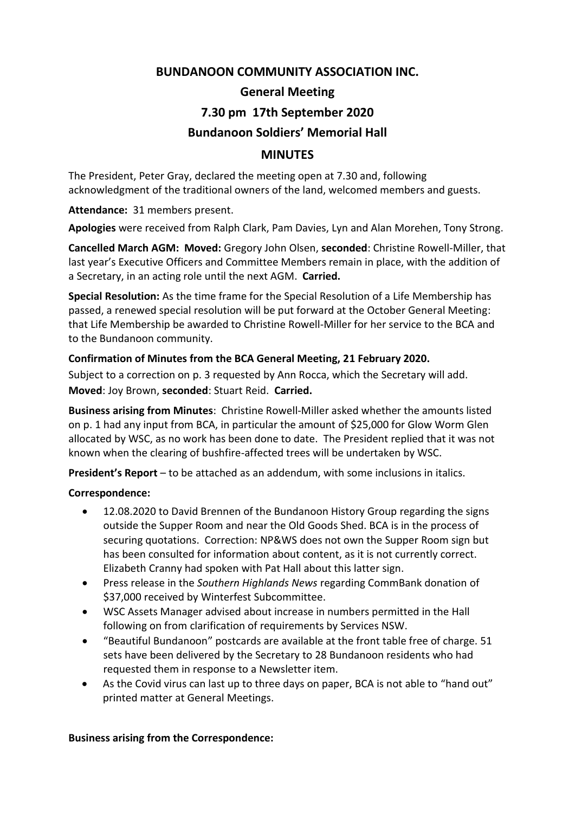# **BUNDANOON COMMUNITY ASSOCIATION INC.**

# **General Meeting 7.30 pm 17th September 2020**

# **Bundanoon Soldiers' Memorial Hall**

# **MINUTES**

The President, Peter Gray, declared the meeting open at 7.30 and, following acknowledgment of the traditional owners of the land, welcomed members and guests.

**Attendance:** 31 members present.

**Apologies** were received from Ralph Clark, Pam Davies, Lyn and Alan Morehen, Tony Strong.

**Cancelled March AGM: Moved:** Gregory John Olsen, **seconded**: Christine Rowell-Miller, that last year's Executive Officers and Committee Members remain in place, with the addition of a Secretary, in an acting role until the next AGM. **Carried.**

**Special Resolution:** As the time frame for the Special Resolution of a Life Membership has passed, a renewed special resolution will be put forward at the October General Meeting: that Life Membership be awarded to Christine Rowell-Miller for her service to the BCA and to the Bundanoon community.

# **Confirmation of Minutes from the BCA General Meeting, 21 February 2020.**

Subject to a correction on p. 3 requested by Ann Rocca, which the Secretary will add. **Moved**: Joy Brown, **seconded**: Stuart Reid. **Carried.**

**Business arising from Minutes**: Christine Rowell-Miller asked whether the amounts listed on p. 1 had any input from BCA, in particular the amount of \$25,000 for Glow Worm Glen allocated by WSC, as no work has been done to date. The President replied that it was not known when the clearing of bushfire-affected trees will be undertaken by WSC.

**President's Report** – to be attached as an addendum, with some inclusions in italics.

# **Correspondence:**

- 12.08.2020 to David Brennen of the Bundanoon History Group regarding the signs outside the Supper Room and near the Old Goods Shed. BCA is in the process of securing quotations. Correction: NP&WS does not own the Supper Room sign but has been consulted for information about content, as it is not currently correct. Elizabeth Cranny had spoken with Pat Hall about this latter sign.
- Press release in the *Southern Highlands News* regarding CommBank donation of \$37,000 received by Winterfest Subcommittee.
- WSC Assets Manager advised about increase in numbers permitted in the Hall following on from clarification of requirements by Services NSW.
- "Beautiful Bundanoon" postcards are available at the front table free of charge. 51 sets have been delivered by the Secretary to 28 Bundanoon residents who had requested them in response to a Newsletter item.
- As the Covid virus can last up to three days on paper, BCA is not able to "hand out" printed matter at General Meetings.

### **Business arising from the Correspondence:**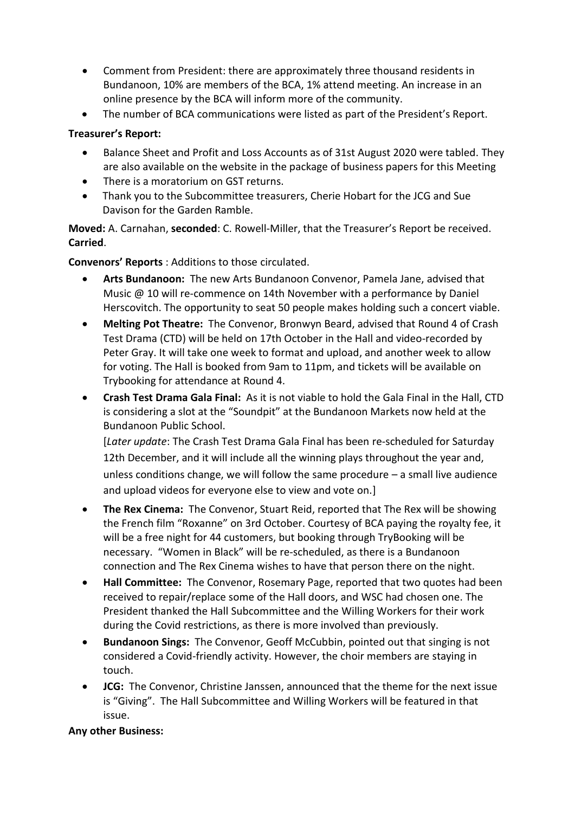- Comment from President: there are approximately three thousand residents in Bundanoon, 10% are members of the BCA, 1% attend meeting. An increase in an online presence by the BCA will inform more of the community.
- The number of BCA communications were listed as part of the President's Report.

# **Treasurer's Report:**

- Balance Sheet and Profit and Loss Accounts as of 31st August 2020 were tabled. They are also available on the website in the package of business papers for this Meeting
- There is a moratorium on GST returns.
- Thank you to the Subcommittee treasurers, Cherie Hobart for the JCG and Sue Davison for the Garden Ramble.

**Moved:** A. Carnahan, **seconded**: C. Rowell-Miller, that the Treasurer's Report be received. **Carried**.

**Convenors' Reports** : Additions to those circulated.

- **Arts Bundanoon:** The new Arts Bundanoon Convenor, Pamela Jane, advised that Music @ 10 will re-commence on 14th November with a performance by Daniel Herscovitch. The opportunity to seat 50 people makes holding such a concert viable.
- **Melting Pot Theatre:** The Convenor, Bronwyn Beard, advised that Round 4 of Crash Test Drama (CTD) will be held on 17th October in the Hall and video-recorded by Peter Gray. It will take one week to format and upload, and another week to allow for voting. The Hall is booked from 9am to 11pm, and tickets will be available on Trybooking for attendance at Round 4.
- **Crash Test Drama Gala Final:** As it is not viable to hold the Gala Final in the Hall, CTD is considering a slot at the "Soundpit" at the Bundanoon Markets now held at the Bundanoon Public School.

[*Later update*: The Crash Test Drama Gala Final has been re-scheduled for Saturday 12th December, and it will include all the winning plays throughout the year and, unless conditions change, we will follow the same procedure  $-$  a small live audience and upload videos for everyone else to view and vote on.]

- **The Rex Cinema:** The Convenor, Stuart Reid, reported that The Rex will be showing the French film "Roxanne" on 3rd October. Courtesy of BCA paying the royalty fee, it will be a free night for 44 customers, but booking through TryBooking will be necessary. "Women in Black" will be re-scheduled, as there is a Bundanoon connection and The Rex Cinema wishes to have that person there on the night.
- **Hall Committee:** The Convenor, Rosemary Page, reported that two quotes had been received to repair/replace some of the Hall doors, and WSC had chosen one. The President thanked the Hall Subcommittee and the Willing Workers for their work during the Covid restrictions, as there is more involved than previously.
- **Bundanoon Sings:** The Convenor, Geoff McCubbin, pointed out that singing is not considered a Covid-friendly activity. However, the choir members are staying in touch.
- **JCG:** The Convenor, Christine Janssen, announced that the theme for the next issue is "Giving". The Hall Subcommittee and Willing Workers will be featured in that issue.

# **Any other Business:**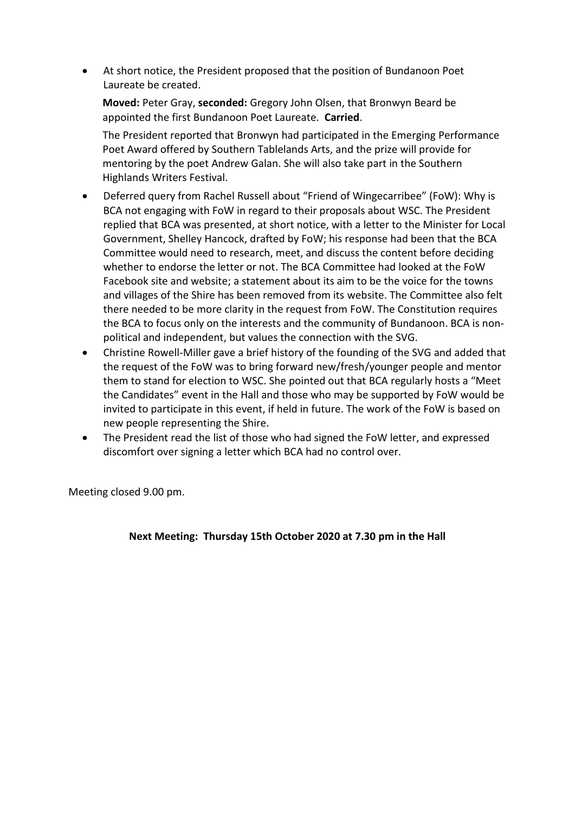• At short notice, the President proposed that the position of Bundanoon Poet Laureate be created.

**Moved:** Peter Gray, **seconded:** Gregory John Olsen, that Bronwyn Beard be appointed the first Bundanoon Poet Laureate. **Carried**.

The President reported that Bronwyn had participated in the Emerging Performance Poet Award offered by Southern Tablelands Arts, and the prize will provide for mentoring by the poet Andrew Galan. She will also take part in the Southern Highlands Writers Festival.

- Deferred query from Rachel Russell about "Friend of Wingecarribee" (FoW): Why is BCA not engaging with FoW in regard to their proposals about WSC. The President replied that BCA was presented, at short notice, with a letter to the Minister for Local Government, Shelley Hancock, drafted by FoW; his response had been that the BCA Committee would need to research, meet, and discuss the content before deciding whether to endorse the letter or not. The BCA Committee had looked at the FoW Facebook site and website; a statement about its aim to be the voice for the towns and villages of the Shire has been removed from its website. The Committee also felt there needed to be more clarity in the request from FoW. The Constitution requires the BCA to focus only on the interests and the community of Bundanoon. BCA is nonpolitical and independent, but values the connection with the SVG.
- Christine Rowell-Miller gave a brief history of the founding of the SVG and added that the request of the FoW was to bring forward new/fresh/younger people and mentor them to stand for election to WSC. She pointed out that BCA regularly hosts a "Meet the Candidates" event in the Hall and those who may be supported by FoW would be invited to participate in this event, if held in future. The work of the FoW is based on new people representing the Shire.
- The President read the list of those who had signed the FoW letter, and expressed discomfort over signing a letter which BCA had no control over.

Meeting closed 9.00 pm.

# **Next Meeting: Thursday 15th October 2020 at 7.30 pm in the Hall**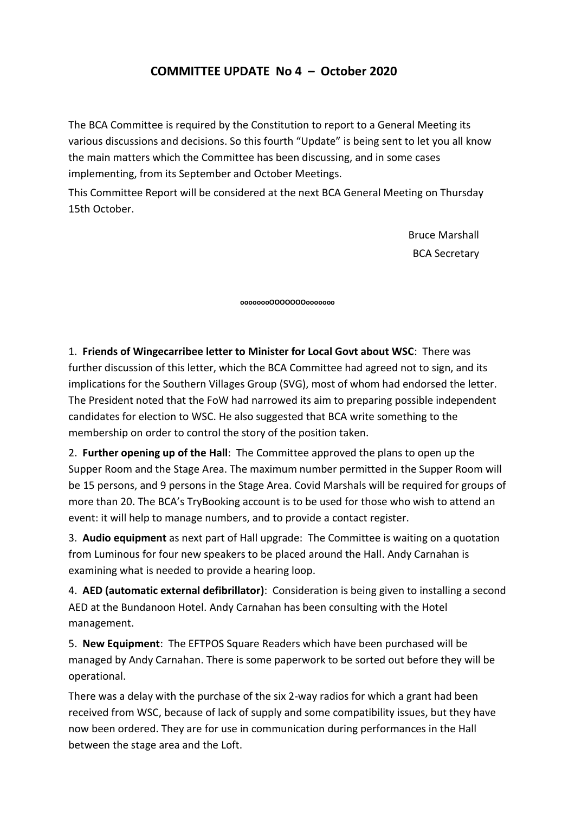# **COMMITTEE UPDATE No 4 – October 2020**

The BCA Committee is required by the Constitution to report to a General Meeting its various discussions and decisions. So this fourth "Update" is being sent to let you all know the main matters which the Committee has been discussing, and in some cases implementing, from its September and October Meetings.

This Committee Report will be considered at the next BCA General Meeting on Thursday 15th October.

> Bruce Marshall BCA Secretary

**oooooooOOOOOOOooooooo**

1. **Friends of Wingecarribee letter to Minister for Local Govt about WSC**: There was further discussion of this letter, which the BCA Committee had agreed not to sign, and its implications for the Southern Villages Group (SVG), most of whom had endorsed the letter. The President noted that the FoW had narrowed its aim to preparing possible independent candidates for election to WSC. He also suggested that BCA write something to the membership on order to control the story of the position taken.

2. **Further opening up of the Hall**: The Committee approved the plans to open up the Supper Room and the Stage Area. The maximum number permitted in the Supper Room will be 15 persons, and 9 persons in the Stage Area. Covid Marshals will be required for groups of more than 20. The BCA's TryBooking account is to be used for those who wish to attend an event: it will help to manage numbers, and to provide a contact register.

3. **Audio equipment** as next part of Hall upgrade: The Committee is waiting on a quotation from Luminous for four new speakers to be placed around the Hall. Andy Carnahan is examining what is needed to provide a hearing loop.

4. **AED (automatic external defibrillator)**: Consideration is being given to installing a second AED at the Bundanoon Hotel. Andy Carnahan has been consulting with the Hotel management.

5. **New Equipment**: The EFTPOS Square Readers which have been purchased will be managed by Andy Carnahan. There is some paperwork to be sorted out before they will be operational.

There was a delay with the purchase of the six 2-way radios for which a grant had been received from WSC, because of lack of supply and some compatibility issues, but they have now been ordered. They are for use in communication during performances in the Hall between the stage area and the Loft.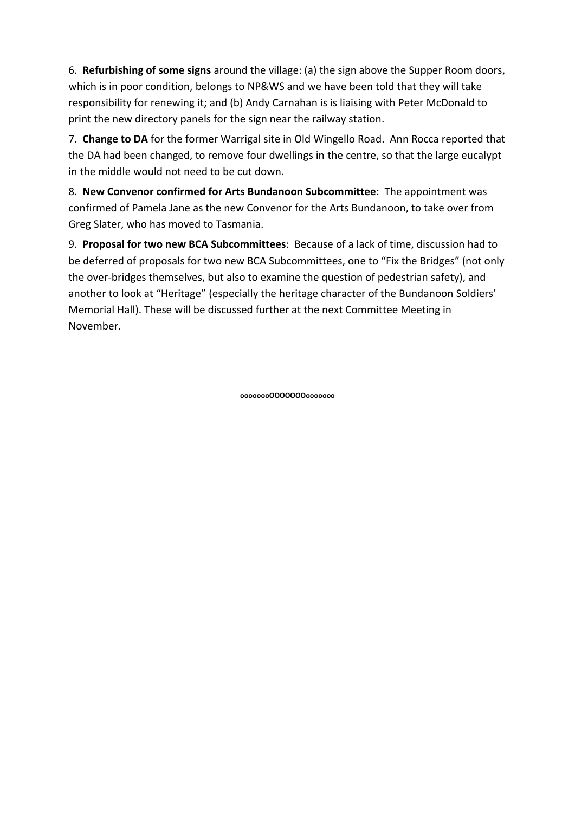6. **Refurbishing of some signs** around the village: (a) the sign above the Supper Room doors, which is in poor condition, belongs to NP&WS and we have been told that they will take responsibility for renewing it; and (b) Andy Carnahan is is liaising with Peter McDonald to print the new directory panels for the sign near the railway station.

7. **Change to DA** for the former Warrigal site in Old Wingello Road. Ann Rocca reported that the DA had been changed, to remove four dwellings in the centre, so that the large eucalypt in the middle would not need to be cut down.

8. **New Convenor confirmed for Arts Bundanoon Subcommittee**: The appointment was confirmed of Pamela Jane as the new Convenor for the Arts Bundanoon, to take over from Greg Slater, who has moved to Tasmania.

9. **Proposal for two new BCA Subcommittees**: Because of a lack of time, discussion had to be deferred of proposals for two new BCA Subcommittees, one to "Fix the Bridges" (not only the over-bridges themselves, but also to examine the question of pedestrian safety), and another to look at "Heritage" (especially the heritage character of the Bundanoon Soldiers' Memorial Hall). These will be discussed further at the next Committee Meeting in November.

**oooooooOOOOOOOooooooo**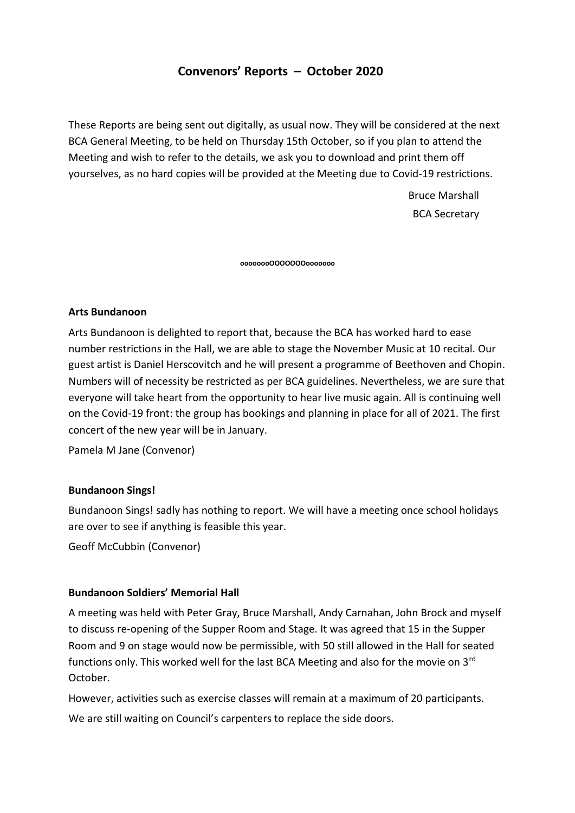# **Convenors' Reports – October 2020**

These Reports are being sent out digitally, as usual now. They will be considered at the next BCA General Meeting, to be held on Thursday 15th October, so if you plan to attend the Meeting and wish to refer to the details, we ask you to download and print them off yourselves, as no hard copies will be provided at the Meeting due to Covid-19 restrictions.

> Bruce Marshall BCA Secretary

**oooooooOOOOOOOooooooo**

### **Arts Bundanoon**

Arts Bundanoon is delighted to report that, because the BCA has worked hard to ease number restrictions in the Hall, we are able to stage the November Music at 10 recital. Our guest artist is Daniel Herscovitch and he will present a programme of Beethoven and Chopin. Numbers will of necessity be restricted as per BCA guidelines. Nevertheless, we are sure that everyone will take heart from the opportunity to hear live music again. All is continuing well on the Covid-19 front: the group has bookings and planning in place for all of 2021. The first concert of the new year will be in January.

Pamela M Jane (Convenor)

### **Bundanoon Sings!**

Bundanoon Sings! sadly has nothing to report. We will have a meeting once school holidays are over to see if anything is feasible this year.

Geoff McCubbin (Convenor)

### **Bundanoon Soldiers' Memorial Hall**

A meeting was held with Peter Gray, Bruce Marshall, Andy Carnahan, John Brock and myself to discuss re-opening of the Supper Room and Stage. It was agreed that 15 in the Supper Room and 9 on stage would now be permissible, with 50 still allowed in the Hall for seated functions only. This worked well for the last BCA Meeting and also for the movie on 3<sup>rd</sup> October.

However, activities such as exercise classes will remain at a maximum of 20 participants. We are still waiting on Council's carpenters to replace the side doors.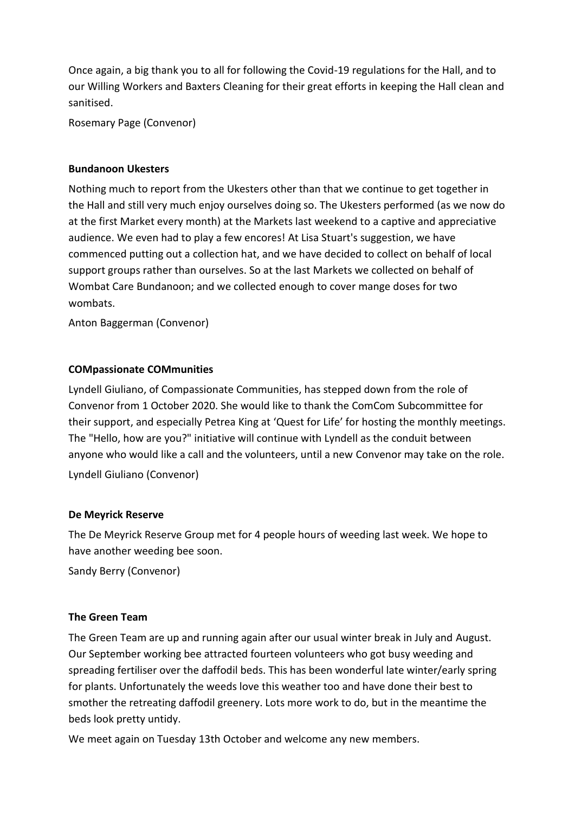Once again, a big thank you to all for following the Covid-19 regulations for the Hall, and to our Willing Workers and Baxters Cleaning for their great efforts in keeping the Hall clean and sanitised.

Rosemary Page (Convenor)

### **Bundanoon Ukesters**

Nothing much to report from the Ukesters other than that we continue to get together in the Hall and still very much enjoy ourselves doing so. The Ukesters performed (as we now do at the first Market every month) at the Markets last weekend to a captive and appreciative audience. We even had to play a few encores! At Lisa Stuart's suggestion, we have commenced putting out a collection hat, and we have decided to collect on behalf of local support groups rather than ourselves. So at the last Markets we collected on behalf of Wombat Care Bundanoon; and we collected enough to cover mange doses for two wombats.

Anton Baggerman (Convenor)

### **COMpassionate COMmunities**

Lyndell Giuliano, of Compassionate Communities, has stepped down from the role of Convenor from 1 October 2020. She would like to thank the ComCom Subcommittee for their support, and especially Petrea King at 'Quest for Life' for hosting the monthly meetings. The "Hello, how are you?" initiative will continue with Lyndell as the conduit between anyone who would like a call and the volunteers, until a new Convenor may take on the role. Lyndell Giuliano (Convenor)

### **De Meyrick Reserve**

The De Meyrick Reserve Group met for 4 people hours of weeding last week. We hope to have another weeding bee soon.

Sandy Berry (Convenor)

### **The Green Team**

The Green Team are up and running again after our usual winter break in July and August. Our September working bee attracted fourteen volunteers who got busy weeding and spreading fertiliser over the daffodil beds. This has been wonderful late winter/early spring for plants. Unfortunately the weeds love this weather too and have done their best to smother the retreating daffodil greenery. Lots more work to do, but in the meantime the beds look pretty untidy.

We meet again on Tuesday 13th October and welcome any new members.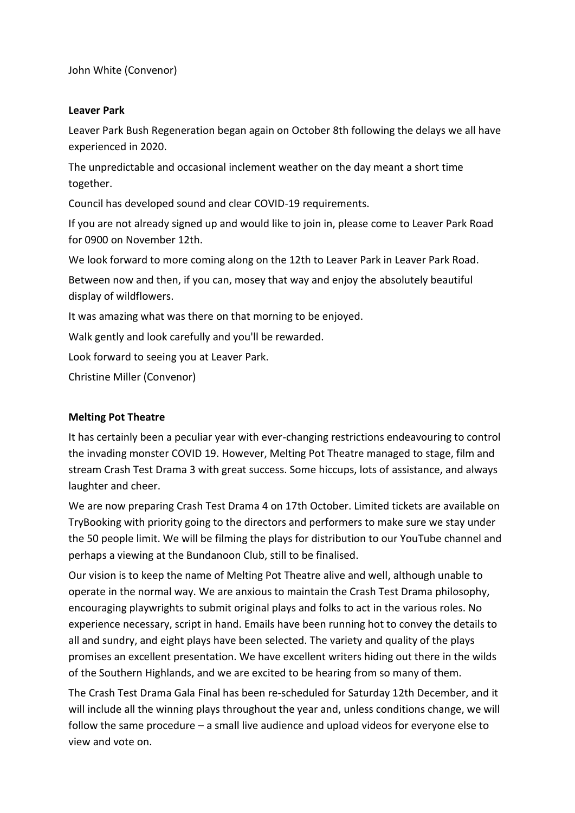John White (Convenor)

### **Leaver Park**

Leaver Park Bush Regeneration began again on October 8th following the delays we all have experienced in 2020.

The unpredictable and occasional inclement weather on the day meant a short time together.

Council has developed sound and clear COVID-19 requirements.

If you are not already signed up and would like to join in, please come to Leaver Park Road for 0900 on November 12th.

We look forward to more coming along on the 12th to Leaver Park in Leaver Park Road.

Between now and then, if you can, mosey that way and enjoy the absolutely beautiful display of wildflowers.

It was amazing what was there on that morning to be enjoyed.

Walk gently and look carefully and you'll be rewarded.

Look forward to seeing you at Leaver Park.

Christine Miller (Convenor)

# **Melting Pot Theatre**

It has certainly been a peculiar year with ever-changing restrictions endeavouring to control the invading monster COVID 19. However, Melting Pot Theatre managed to stage, film and stream Crash Test Drama 3 with great success. Some hiccups, lots of assistance, and always laughter and cheer.

We are now preparing Crash Test Drama 4 on 17th October. Limited tickets are available on TryBooking with priority going to the directors and performers to make sure we stay under the 50 people limit. We will be filming the plays for distribution to our YouTube channel and perhaps a viewing at the Bundanoon Club, still to be finalised.

Our vision is to keep the name of Melting Pot Theatre alive and well, although unable to operate in the normal way. We are anxious to maintain the Crash Test Drama philosophy, encouraging playwrights to submit original plays and folks to act in the various roles. No experience necessary, script in hand. Emails have been running hot to convey the details to all and sundry, and eight plays have been selected. The variety and quality of the plays promises an excellent presentation. We have excellent writers hiding out there in the wilds of the Southern Highlands, and we are excited to be hearing from so many of them.

The Crash Test Drama Gala Final has been re-scheduled for Saturday 12th December, and it will include all the winning plays throughout the year and, unless conditions change, we will follow the same procedure – a small live audience and upload videos for everyone else to view and vote on.